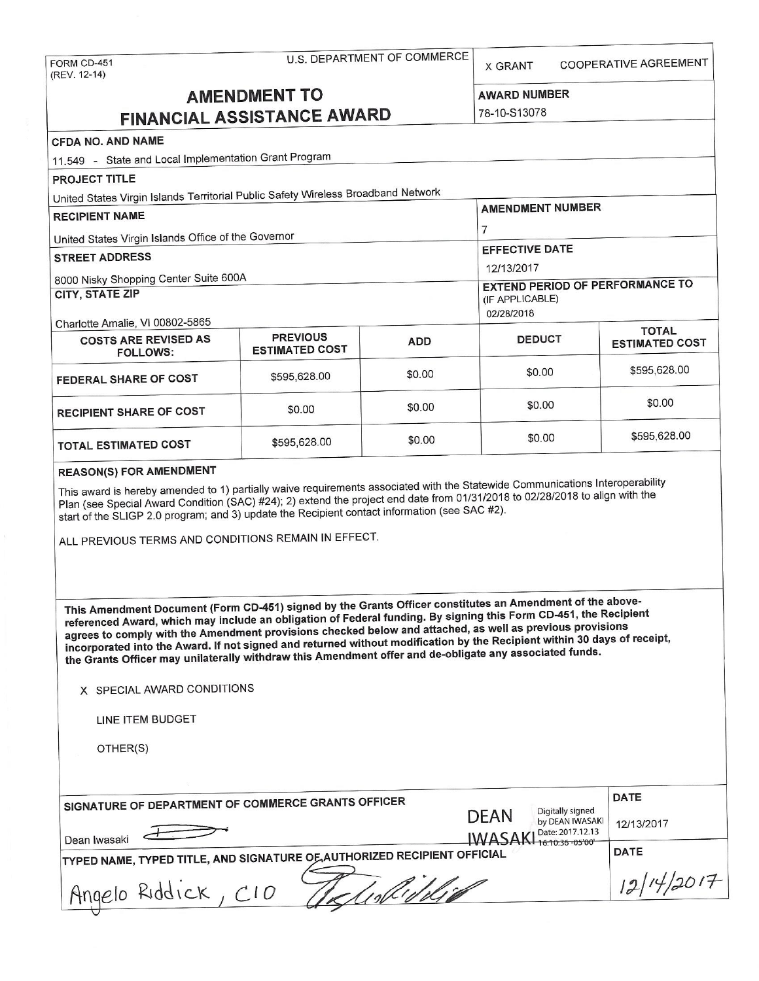| <b>U.S. DEPARTMENT OF COMMERCE</b><br>FORM CD-451<br>(REV. 12-14)                                                                                                                                                                                                                                                                                                                                                                                                                                                                                                                 |                               |                                     | COOPERATIVE AGREEMENT<br><b>X GRANT</b>              |                                      |                       |  |
|-----------------------------------------------------------------------------------------------------------------------------------------------------------------------------------------------------------------------------------------------------------------------------------------------------------------------------------------------------------------------------------------------------------------------------------------------------------------------------------------------------------------------------------------------------------------------------------|-------------------------------|-------------------------------------|------------------------------------------------------|--------------------------------------|-----------------------|--|
| <b>AMENDMENT TO</b>                                                                                                                                                                                                                                                                                                                                                                                                                                                                                                                                                               |                               |                                     |                                                      | <b>AWARD NUMBER</b><br>78-10-S13078  |                       |  |
| <b>FINANCIAL ASSISTANCE AWARD</b>                                                                                                                                                                                                                                                                                                                                                                                                                                                                                                                                                 |                               |                                     |                                                      |                                      |                       |  |
| <b>CFDA NO. AND NAME</b>                                                                                                                                                                                                                                                                                                                                                                                                                                                                                                                                                          |                               |                                     |                                                      |                                      |                       |  |
| 11.549 - State and Local Implementation Grant Program                                                                                                                                                                                                                                                                                                                                                                                                                                                                                                                             |                               |                                     |                                                      |                                      |                       |  |
| <b>PROJECT TITLE</b>                                                                                                                                                                                                                                                                                                                                                                                                                                                                                                                                                              |                               |                                     |                                                      |                                      |                       |  |
| United States Virgin Islands Territorial Public Safety Wireless Broadband Network                                                                                                                                                                                                                                                                                                                                                                                                                                                                                                 |                               |                                     | <b>AMENDMENT NUMBER</b>                              |                                      |                       |  |
| <b>RECIPIENT NAME</b>                                                                                                                                                                                                                                                                                                                                                                                                                                                                                                                                                             |                               |                                     |                                                      |                                      |                       |  |
| United States Virgin Islands Office of the Governor                                                                                                                                                                                                                                                                                                                                                                                                                                                                                                                               | $\overline{7}$                |                                     |                                                      |                                      |                       |  |
| <b>STREET ADDRESS</b>                                                                                                                                                                                                                                                                                                                                                                                                                                                                                                                                                             |                               |                                     | <b>EFFECTIVE DATE</b>                                |                                      |                       |  |
| 8000 Nisky Shopping Center Suite 600A                                                                                                                                                                                                                                                                                                                                                                                                                                                                                                                                             |                               |                                     | 12/13/2017<br><b>EXTEND PERIOD OF PERFORMANCE TO</b> |                                      |                       |  |
| <b>CITY, STATE ZIP</b>                                                                                                                                                                                                                                                                                                                                                                                                                                                                                                                                                            | (IF APPLICABLE)<br>02/28/2018 |                                     |                                                      |                                      |                       |  |
| Charlotte Amalie, VI 00802-5865                                                                                                                                                                                                                                                                                                                                                                                                                                                                                                                                                   | <b>PREVIOUS</b>               |                                     |                                                      |                                      | <b>TOTAL</b>          |  |
| <b>COSTS ARE REVISED AS</b><br><b>FOLLOWS:</b>                                                                                                                                                                                                                                                                                                                                                                                                                                                                                                                                    | <b>ESTIMATED COST</b>         | <b>ADD</b>                          | <b>DEDUCT</b>                                        |                                      | <b>ESTIMATED COST</b> |  |
| FEDERAL SHARE OF COST                                                                                                                                                                                                                                                                                                                                                                                                                                                                                                                                                             | \$595,628.00                  | \$0.00                              | \$0.00                                               |                                      | \$595,628.00          |  |
| <b>RECIPIENT SHARE OF COST</b>                                                                                                                                                                                                                                                                                                                                                                                                                                                                                                                                                    | \$0.00                        | \$0.00                              | \$0.00                                               |                                      | \$0.00                |  |
| <b>TOTAL ESTIMATED COST</b>                                                                                                                                                                                                                                                                                                                                                                                                                                                                                                                                                       | \$595,628.00                  | \$0.00                              | \$0.00                                               |                                      | \$595,628.00          |  |
| start of the SLIGP 2.0 program; and 3) update the Recipient contact information (see SAC #2).<br>ALL PREVIOUS TERMS AND CONDITIONS REMAIN IN EFFECT.                                                                                                                                                                                                                                                                                                                                                                                                                              |                               |                                     |                                                      |                                      |                       |  |
| This Amendment Document (Form CD-451) signed by the Grants Officer constitutes an Amendment of the above-<br>referenced Award, which may include an obligation of Federal funding. By signing this Form CD-451, the Recipient<br>agrees to comply with the Amendment provisions checked below and attached, as well as previous provisions<br>incorporated into the Award. If not signed and returned without modification by the Recipient within 30 days of receipt,<br>the Grants Officer may unilaterally withdraw this Amendment offer and de-obligate any associated funds. |                               |                                     |                                                      |                                      |                       |  |
| X SPECIAL AWARD CONDITIONS                                                                                                                                                                                                                                                                                                                                                                                                                                                                                                                                                        |                               |                                     |                                                      |                                      |                       |  |
| LINE ITEM BUDGET                                                                                                                                                                                                                                                                                                                                                                                                                                                                                                                                                                  |                               |                                     |                                                      |                                      |                       |  |
| OTHER(S)                                                                                                                                                                                                                                                                                                                                                                                                                                                                                                                                                                          |                               |                                     |                                                      |                                      |                       |  |
|                                                                                                                                                                                                                                                                                                                                                                                                                                                                                                                                                                                   |                               |                                     |                                                      |                                      |                       |  |
| SIGNATURE OF DEPARTMENT OF COMMERCE GRANTS OFFICER                                                                                                                                                                                                                                                                                                                                                                                                                                                                                                                                | <b>DEAN</b>                   | Digitally signed<br>by DEAN IWASAKI | <b>DATE</b>                                          |                                      |                       |  |
| Dean Iwasaki                                                                                                                                                                                                                                                                                                                                                                                                                                                                                                                                                                      |                               |                                     | <b>IWASAK</b>                                        | Date: 2017.12.13<br>16:10:36 -05'00" | 12/13/2017            |  |
| TYPED NAME, TYPED TITLE, AND SIGNATURE OF AUTHORIZED RECIPIENT OFFICIAL                                                                                                                                                                                                                                                                                                                                                                                                                                                                                                           |                               |                                     |                                                      |                                      | <b>DATE</b>           |  |
| Angelo Riddick                                                                                                                                                                                                                                                                                                                                                                                                                                                                                                                                                                    | CIO                           |                                     |                                                      |                                      | 12/14/2017            |  |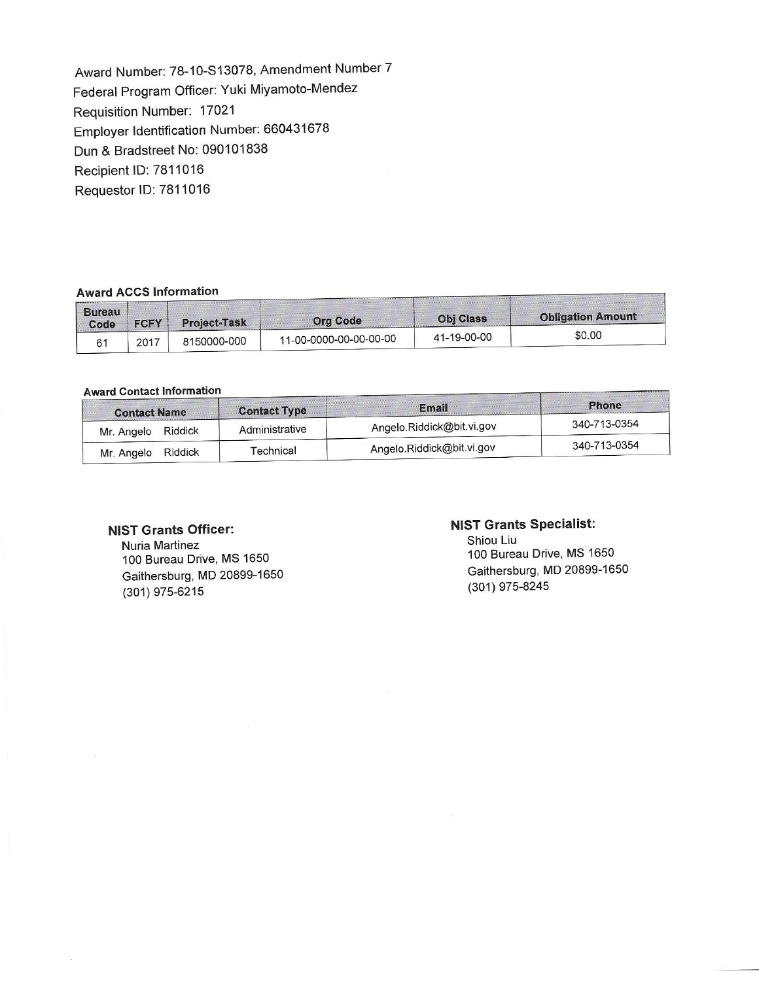Award Number: 78-10-S13078, Amendment Number 7 Federal Program Officer: Yuki Miyamoto-Mendez Requisition Number: 17021 Employer Identification Number: 660431678 Dun & Bradstreet No: 090101838 Recipient ID: 7811016 Requestor ID: 7811016

#### **Award ACCS Information**

| <b>Bureau</b><br>Code | <b>FCFY</b> | <b>Project-Task</b> | <b>Org Code</b>        | <b>Obj Class</b> | <b>Obligation Amount</b> |
|-----------------------|-------------|---------------------|------------------------|------------------|--------------------------|
| 61                    | 2017        | 8150000-000         | 11-00-0000-00-00-00-00 | 41-19-00-00      | \$0.00                   |

### **Award Contact Information**

|                | Email                            | <b>Phone</b><br>340-713-0354 |  |
|----------------|----------------------------------|------------------------------|--|
| Administrative | Angelo.Riddick@bit.vi.gov        |                              |  |
|                |                                  | 340-713-0354                 |  |
|                | <b>Contact Type</b><br>Technical | Angelo.Riddick@bit.vi.gov    |  |

#### **NIST Grants Officer:**

Nuria Martinez 100 Bureau Drive, MS 1650 Gaithersburg, MD 20899-1650 (301) 975-6215

#### **NIST Grants Specialist:**

Shiou Liu 100 Bureau Drive, **MS** 1650 Gaithersburg, MD 20899-1650 (301) 975-8245